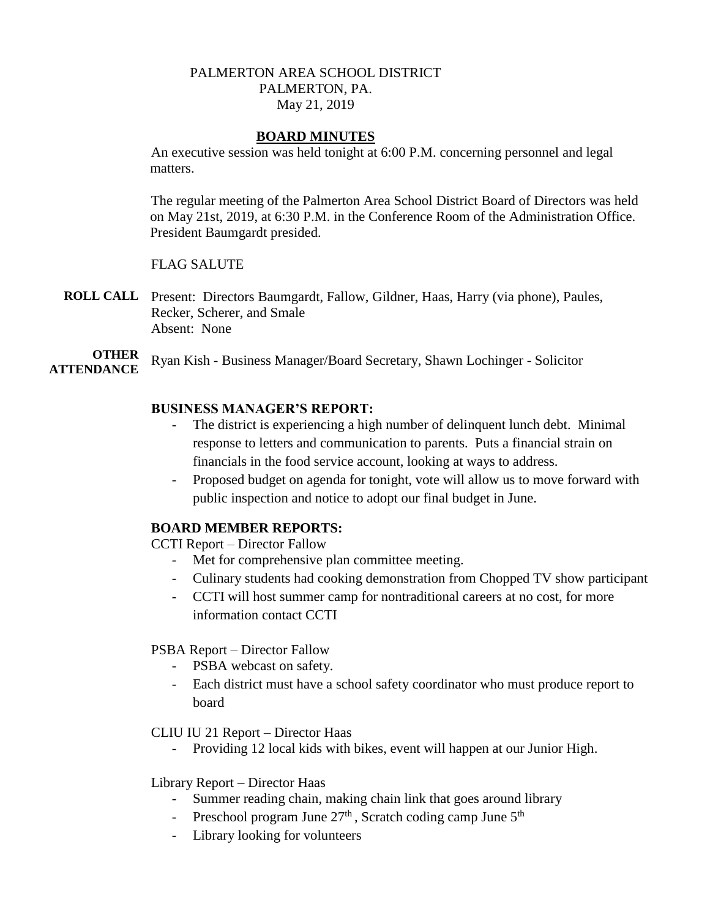# PALMERTON AREA SCHOOL DISTRICT PALMERTON, PA. May 21, 2019

## **BOARD MINUTES**

An executive session was held tonight at 6:00 P.M. concerning personnel and legal matters.

The regular meeting of the Palmerton Area School District Board of Directors was held on May 21st, 2019, at 6:30 P.M. in the Conference Room of the Administration Office. President Baumgardt presided.

## FLAG SALUTE

**ROLL CALL** Present: Directors Baumgardt, Fallow, Gildner, Haas, Harry (via phone), Paules, Recker, Scherer, and Smale Absent: None

**OTHER ATTENDANCE** Ryan Kish - Business Manager/Board Secretary, Shawn Lochinger - Solicitor

## **BUSINESS MANAGER'S REPORT:**

- The district is experiencing a high number of delinquent lunch debt. Minimal response to letters and communication to parents. Puts a financial strain on financials in the food service account, looking at ways to address.
- Proposed budget on agenda for tonight, vote will allow us to move forward with public inspection and notice to adopt our final budget in June.

#### **BOARD MEMBER REPORTS:**

CCTI Report – Director Fallow

- Met for comprehensive plan committee meeting.
- Culinary students had cooking demonstration from Chopped TV show participant
- CCTI will host summer camp for nontraditional careers at no cost, for more information contact CCTI

# PSBA Report – Director Fallow

- PSBA webcast on safety.
- Each district must have a school safety coordinator who must produce report to board

#### CLIU IU 21 Report – Director Haas

- Providing 12 local kids with bikes, event will happen at our Junior High.

#### Library Report – Director Haas

- Summer reading chain, making chain link that goes around library
- Preschool program June  $27<sup>th</sup>$ , Scratch coding camp June  $5<sup>th</sup>$
- Library looking for volunteers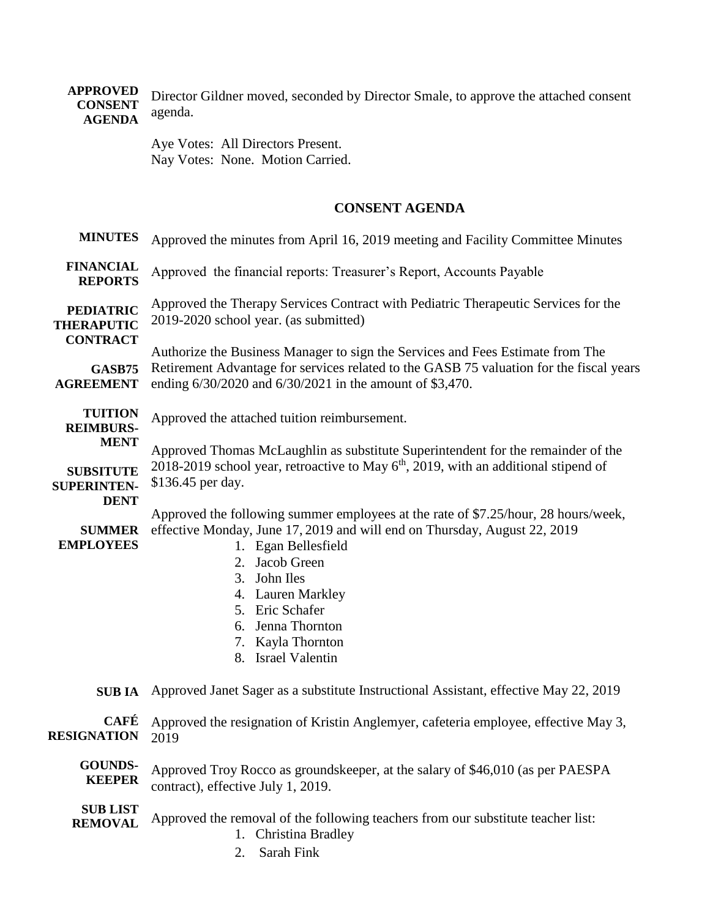**APPROVED CONSENT AGENDA** Director Gildner moved, seconded by Director Smale, to approve the attached consent agenda.

> Aye Votes: All Directors Present. Nay Votes: None. Motion Carried.

# **CONSENT AGENDA**

| <b>MINUTES</b>                                           | Approved the minutes from April 16, 2019 meeting and Facility Committee Minutes                                                                                                        |
|----------------------------------------------------------|----------------------------------------------------------------------------------------------------------------------------------------------------------------------------------------|
| <b>FINANCIAL</b><br><b>REPORTS</b>                       | Approved the financial reports: Treasurer's Report, Accounts Payable                                                                                                                   |
| <b>PEDIATRIC</b><br><b>THERAPUTIC</b><br><b>CONTRACT</b> | Approved the Therapy Services Contract with Pediatric Therapeutic Services for the<br>2019-2020 school year. (as submitted)                                                            |
|                                                          | Authorize the Business Manager to sign the Services and Fees Estimate from The<br>Retirement Advantage for services related to the GASB 75 valuation for the fiscal years              |
| <b>GASB75</b><br><b>AGREEMENT</b>                        | ending 6/30/2020 and 6/30/2021 in the amount of \$3,470.                                                                                                                               |
| <b>TUITION</b><br><b>REIMBURS-</b>                       | Approved the attached tuition reimbursement.                                                                                                                                           |
| <b>MENT</b>                                              | Approved Thomas McLaughlin as substitute Superintendent for the remainder of the                                                                                                       |
| <b>SUBSITUTE</b><br><b>SUPERINTEN-</b><br><b>DENT</b>    | 2018-2019 school year, retroactive to May $6th$ , 2019, with an additional stipend of<br>\$136.45 per day.                                                                             |
| <b>SUMMER</b><br><b>EMPLOYEES</b>                        | Approved the following summer employees at the rate of \$7.25/hour, 28 hours/week,<br>effective Monday, June 17, 2019 and will end on Thursday, August 22, 2019<br>1. Egan Bellesfield |
|                                                          | 2. Jacob Green<br>3.<br>John Iles                                                                                                                                                      |
|                                                          | 4. Lauren Markley                                                                                                                                                                      |
|                                                          | 5. Eric Schafer                                                                                                                                                                        |
|                                                          | 6. Jenna Thornton                                                                                                                                                                      |
|                                                          | 7. Kayla Thornton<br>8. Israel Valentin                                                                                                                                                |
| <b>SUB IA</b>                                            | Approved Janet Sager as a substitute Instructional Assistant, effective May 22, 2019                                                                                                   |
| <b>CAFÉ</b><br><b>RESIGNATION</b>                        | Approved the resignation of Kristin Anglemyer, cafeteria employee, effective May 3,<br>2019                                                                                            |
| <b>GOUNDS-</b><br><b>KEEPER</b>                          | Approved Troy Rocco as groundskeeper, at the salary of \$46,010 (as per PAESPA<br>contract), effective July 1, 2019.                                                                   |
| <b>SUB LIST</b><br><b>REMOVAL</b>                        | Approved the removal of the following teachers from our substitute teacher list:<br>1. Christina Bradley                                                                               |
|                                                          |                                                                                                                                                                                        |

2. Sarah Fink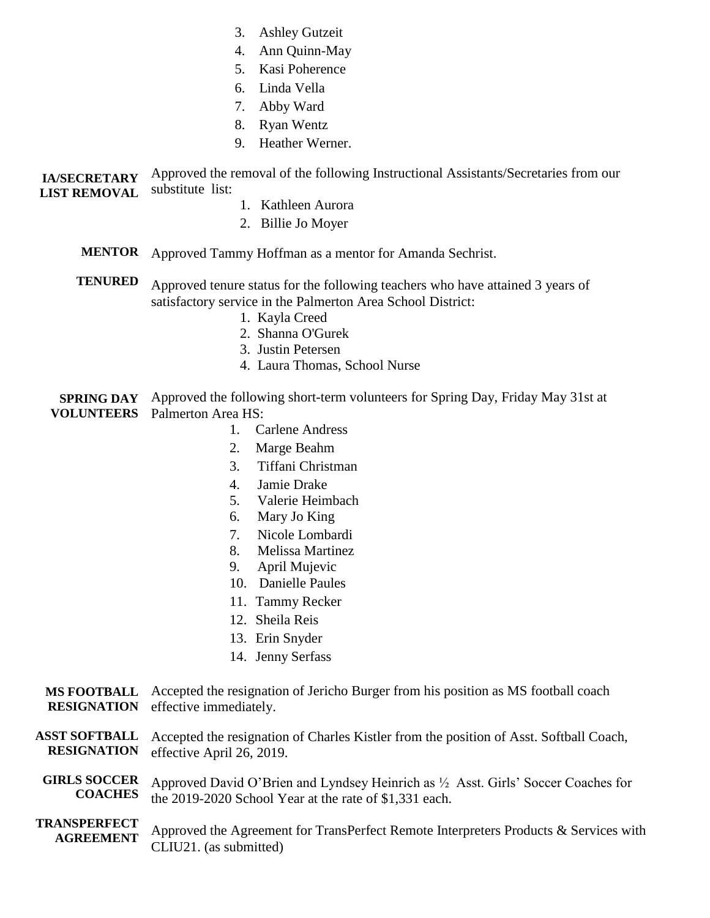- 3. Ashley Gutzeit
- 4. Ann Quinn-May
- 5. Kasi Poherence
- 6. Linda Vella
- 7. Abby Ward
- 8. Ryan Wentz
- 9. Heather Werner.

**IA/SECRETARY LIST REMOVAL** Approved the removal of the following Instructional Assistants/Secretaries from our substitute list:

- 1. Kathleen Aurora
- 2. Billie Jo Moyer
- **MENTOR** Approved Tammy Hoffman as a mentor for Amanda Sechrist.

**TENURED**  Approved tenure status for the following teachers who have attained 3 years of satisfactory service in the Palmerton Area School District:

- 1. Kayla Creed
- 2. Shanna O'Gurek
- 3. Justin Petersen
- 4. Laura Thomas, School Nurse

**SPRING DAY VOLUNTEERS** Palmerton Area HS: Approved the following short-term volunteers for Spring Day, Friday May 31st at

- 1. Carlene Andress
- 2. Marge Beahm
- 3. Tiffani Christman
- 4. Jamie Drake
- 5. Valerie Heimbach
- 6. Mary Jo King
- 7. Nicole Lombardi
- 8. Melissa Martinez
- 9. April Mujevic
- 10. Danielle Paules
- 11. Tammy Recker
- 12. Sheila Reis
- 13. Erin Snyder
- 14. Jenny Serfass

#### **MS FOOTBALL RESIGNATION** Accepted the resignation of Jericho Burger from his position as MS football coach effective immediately.

- **ASST SOFTBALL RESIGNATION** Accepted the resignation of Charles Kistler from the position of Asst. Softball Coach, effective April 26, 2019.
- **GIRLS SOCCER COACHES** Approved David O'Brien and Lyndsey Heinrich as ½ Asst. Girls' Soccer Coaches for the 2019-2020 School Year at the rate of \$1,331 each.
- **TRANSPERFECT AGREEMENT** Approved the Agreement for TransPerfect Remote Interpreters Products & Services with CLIU21. (as submitted)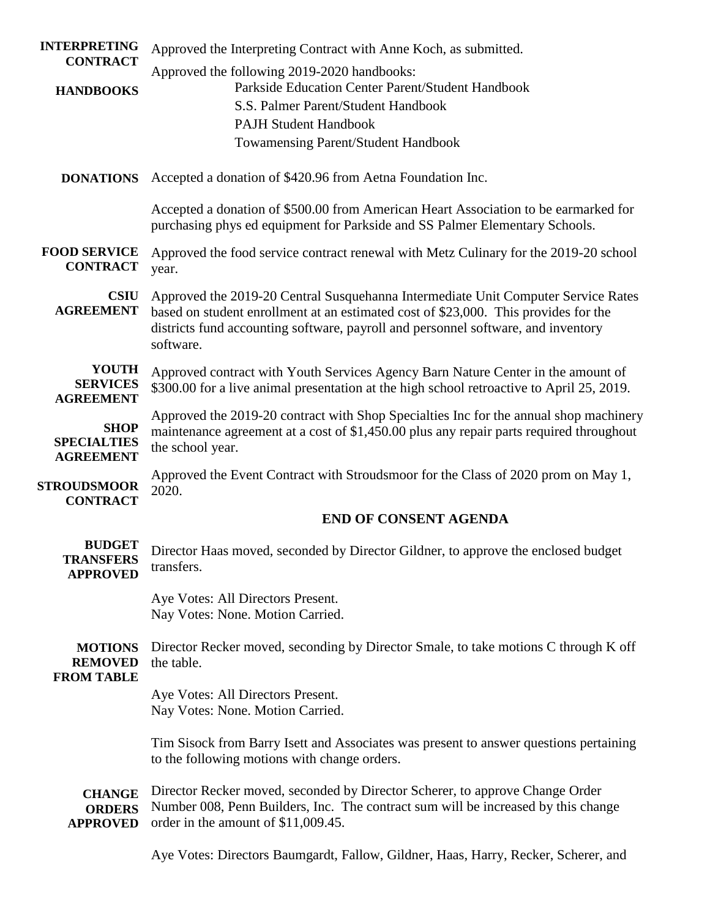| <b>INTERPRETING</b>                                   | Approved the Interpreting Contract with Anne Koch, as submitted.                                                                                                                                                                                                           |
|-------------------------------------------------------|----------------------------------------------------------------------------------------------------------------------------------------------------------------------------------------------------------------------------------------------------------------------------|
| <b>CONTRACT</b>                                       | Approved the following 2019-2020 handbooks:                                                                                                                                                                                                                                |
| <b>HANDBOOKS</b>                                      | Parkside Education Center Parent/Student Handbook                                                                                                                                                                                                                          |
|                                                       | S.S. Palmer Parent/Student Handbook                                                                                                                                                                                                                                        |
|                                                       | <b>PAJH Student Handbook</b>                                                                                                                                                                                                                                               |
|                                                       | <b>Towamensing Parent/Student Handbook</b>                                                                                                                                                                                                                                 |
| <b>DONATIONS</b>                                      | Accepted a donation of \$420.96 from Aetna Foundation Inc.                                                                                                                                                                                                                 |
|                                                       | Accepted a donation of \$500.00 from American Heart Association to be earmarked for<br>purchasing phys ed equipment for Parkside and SS Palmer Elementary Schools.                                                                                                         |
| <b>FOOD SERVICE</b><br><b>CONTRACT</b>                | Approved the food service contract renewal with Metz Culinary for the 2019-20 school<br>year.                                                                                                                                                                              |
| <b>CSIU</b><br><b>AGREEMENT</b>                       | Approved the 2019-20 Central Susquehanna Intermediate Unit Computer Service Rates<br>based on student enrollment at an estimated cost of \$23,000. This provides for the<br>districts fund accounting software, payroll and personnel software, and inventory<br>software. |
| <b>YOUTH</b><br><b>SERVICES</b><br><b>AGREEMENT</b>   | Approved contract with Youth Services Agency Barn Nature Center in the amount of<br>\$300.00 for a live animal presentation at the high school retroactive to April 25, 2019.                                                                                              |
| <b>SHOP</b><br><b>SPECIALTIES</b><br><b>AGREEMENT</b> | Approved the 2019-20 contract with Shop Specialties Inc for the annual shop machinery<br>maintenance agreement at a cost of \$1,450.00 plus any repair parts required throughout<br>the school year.                                                                       |
| <b>STROUDSMOOR</b><br><b>CONTRACT</b>                 | Approved the Event Contract with Stroudsmoor for the Class of 2020 prom on May 1,<br>2020.                                                                                                                                                                                 |
|                                                       | <b>END OF CONSENT AGENDA</b>                                                                                                                                                                                                                                               |
| <b>BUDGET</b><br><b>TRANSFERS</b><br><b>APPROVED</b>  | Director Haas moved, seconded by Director Gildner, to approve the enclosed budget<br>transfers.                                                                                                                                                                            |
|                                                       | Aye Votes: All Directors Present.<br>Nay Votes: None. Motion Carried.                                                                                                                                                                                                      |
| <b>MOTIONS</b><br><b>REMOVED</b><br><b>FROM TABLE</b> | Director Recker moved, seconding by Director Smale, to take motions C through K off<br>the table.                                                                                                                                                                          |
|                                                       | Aye Votes: All Directors Present.<br>Nay Votes: None. Motion Carried.                                                                                                                                                                                                      |
|                                                       | Tim Sisock from Barry Isett and Associates was present to answer questions pertaining<br>to the following motions with change orders.                                                                                                                                      |
| <b>CHANGE</b><br><b>ORDERS</b><br><b>APPROVED</b>     | Director Recker moved, seconded by Director Scherer, to approve Change Order<br>Number 008, Penn Builders, Inc. The contract sum will be increased by this change<br>order in the amount of \$11,009.45.                                                                   |

Aye Votes: Directors Baumgardt, Fallow, Gildner, Haas, Harry, Recker, Scherer, and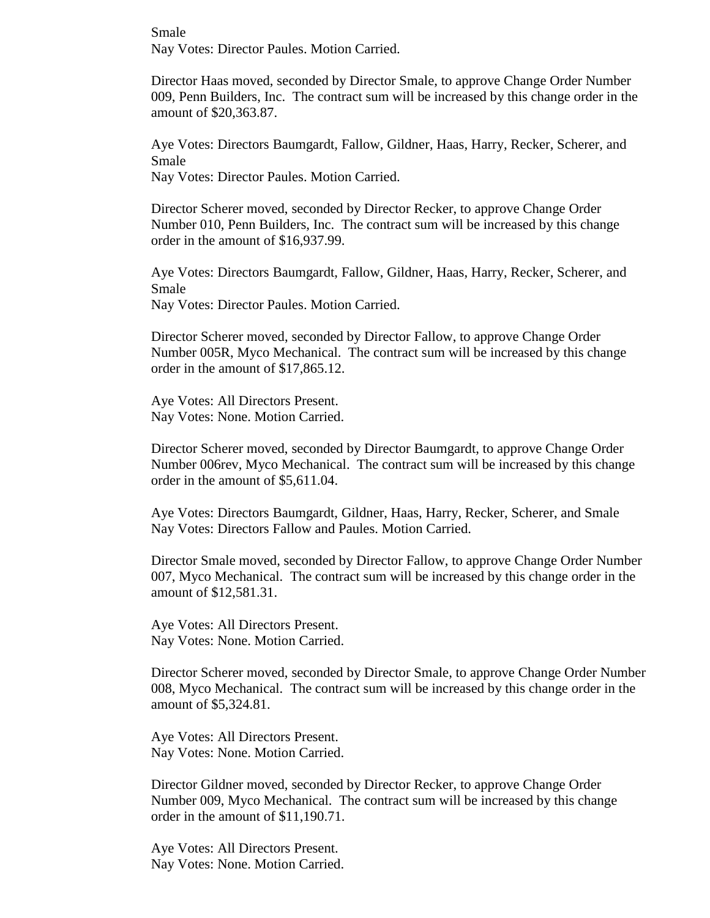Smale Nay Votes: Director Paules. Motion Carried.

Director Haas moved, seconded by Director Smale, to approve Change Order Number 009, Penn Builders, Inc. The contract sum will be increased by this change order in the amount of \$20,363.87.

Aye Votes: Directors Baumgardt, Fallow, Gildner, Haas, Harry, Recker, Scherer, and Smale

Nay Votes: Director Paules. Motion Carried.

Director Scherer moved, seconded by Director Recker, to approve Change Order Number 010, Penn Builders, Inc. The contract sum will be increased by this change order in the amount of \$16,937.99.

Aye Votes: Directors Baumgardt, Fallow, Gildner, Haas, Harry, Recker, Scherer, and Smale

Nay Votes: Director Paules. Motion Carried.

Director Scherer moved, seconded by Director Fallow, to approve Change Order Number 005R, Myco Mechanical. The contract sum will be increased by this change order in the amount of \$17,865.12.

Aye Votes: All Directors Present. Nay Votes: None. Motion Carried.

Director Scherer moved, seconded by Director Baumgardt, to approve Change Order Number 006rev, Myco Mechanical. The contract sum will be increased by this change order in the amount of \$5,611.04.

Aye Votes: Directors Baumgardt, Gildner, Haas, Harry, Recker, Scherer, and Smale Nay Votes: Directors Fallow and Paules. Motion Carried.

Director Smale moved, seconded by Director Fallow, to approve Change Order Number 007, Myco Mechanical. The contract sum will be increased by this change order in the amount of \$12,581.31.

Aye Votes: All Directors Present. Nay Votes: None. Motion Carried.

Director Scherer moved, seconded by Director Smale, to approve Change Order Number 008, Myco Mechanical. The contract sum will be increased by this change order in the amount of \$5,324.81.

Aye Votes: All Directors Present. Nay Votes: None. Motion Carried.

Director Gildner moved, seconded by Director Recker, to approve Change Order Number 009, Myco Mechanical. The contract sum will be increased by this change order in the amount of \$11,190.71.

Aye Votes: All Directors Present. Nay Votes: None. Motion Carried.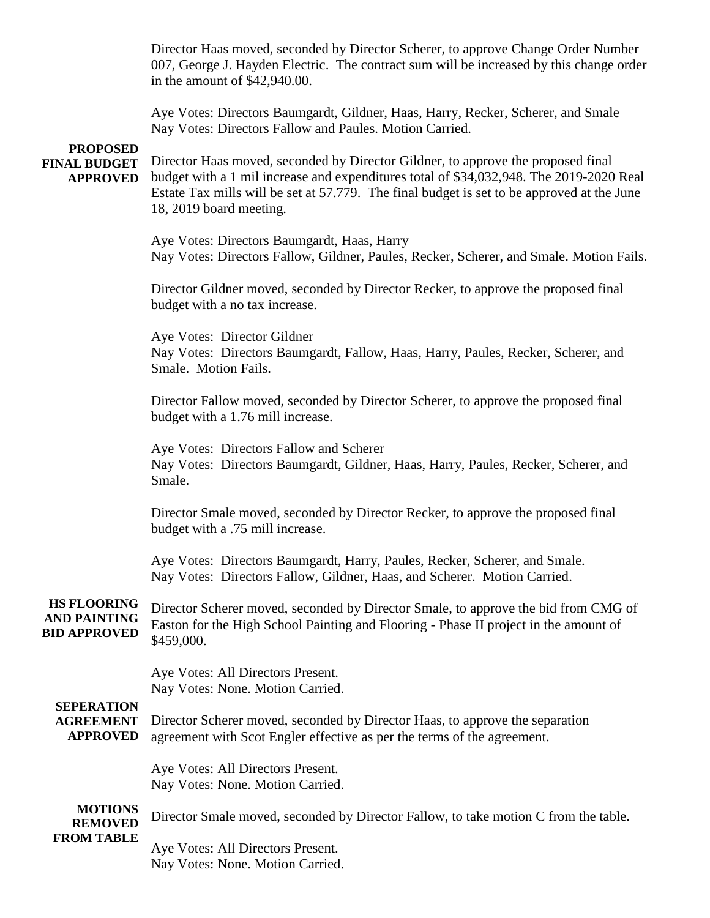Director Haas moved, seconded by Director Scherer, to approve Change Order Number 007, George J. Hayden Electric. The contract sum will be increased by this change order in the amount of \$42,940.00.

Aye Votes: Directors Baumgardt, Gildner, Haas, Harry, Recker, Scherer, and Smale Nay Votes: Directors Fallow and Paules. Motion Carried.

#### **PROPOSED FINAL BUDGET APPROVED**

Director Haas moved, seconded by Director Gildner, to approve the proposed final budget with a 1 mil increase and expenditures total of \$34,032,948. The 2019-2020 Real Estate Tax mills will be set at 57.779. The final budget is set to be approved at the June 18, 2019 board meeting.

Aye Votes: Directors Baumgardt, Haas, Harry Nay Votes: Directors Fallow, Gildner, Paules, Recker, Scherer, and Smale. Motion Fails.

Director Gildner moved, seconded by Director Recker, to approve the proposed final budget with a no tax increase.

Aye Votes: Director Gildner Nay Votes: Directors Baumgardt, Fallow, Haas, Harry, Paules, Recker, Scherer, and Smale. Motion Fails.

Director Fallow moved, seconded by Director Scherer, to approve the proposed final budget with a 1.76 mill increase.

Aye Votes: Directors Fallow and Scherer Nay Votes: Directors Baumgardt, Gildner, Haas, Harry, Paules, Recker, Scherer, and Smale.

Director Smale moved, seconded by Director Recker, to approve the proposed final budget with a .75 mill increase.

Aye Votes: Directors Baumgardt, Harry, Paules, Recker, Scherer, and Smale. Nay Votes: Directors Fallow, Gildner, Haas, and Scherer. Motion Carried.

**HS FLOORING AND PAINTING BID APPROVED** Director Scherer moved, seconded by Director Smale, to approve the bid from CMG of Easton for the High School Painting and Flooring - Phase II project in the amount of \$459,000.

> Aye Votes: All Directors Present. Nay Votes: None. Motion Carried.

# **SEPERATION AGREEMENT**

**APPROVED** Director Scherer moved, seconded by Director Haas, to approve the separation agreement with Scot Engler effective as per the terms of the agreement.

> Aye Votes: All Directors Present. Nay Votes: None. Motion Carried.

**MOTIONS REMOVED FROM TABLE** Director Smale moved, seconded by Director Fallow, to take motion C from the table. Aye Votes: All Directors Present.

Nay Votes: None. Motion Carried.